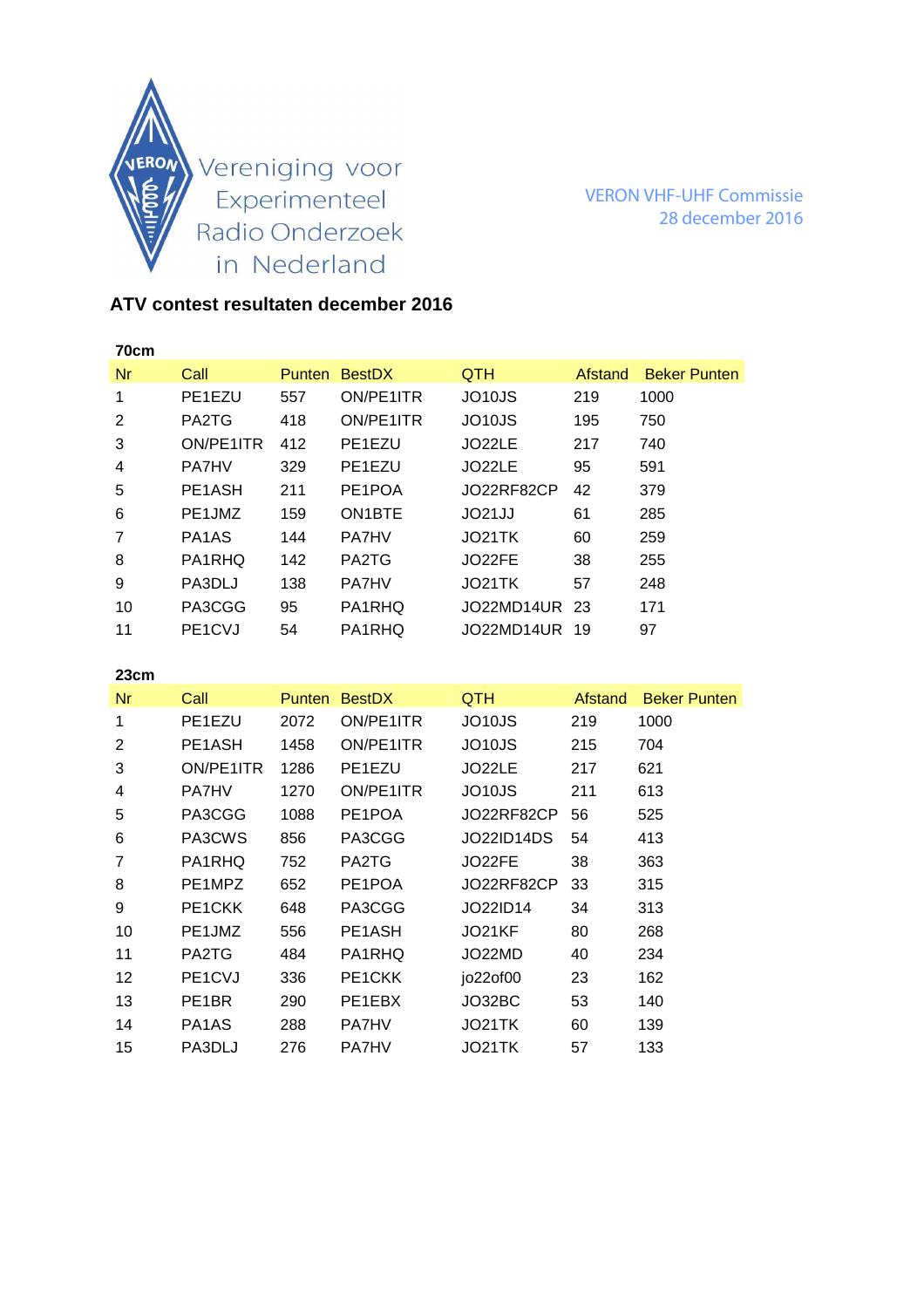

VERON VHF-UHF Commissie 28 december 2016

## **ATV contest resultaten december 2016**

| 70cm |                                  |        |                     |                     |         |                     |
|------|----------------------------------|--------|---------------------|---------------------|---------|---------------------|
| Nr   | Call                             | Punten | <b>BestDX</b>       | <b>QTH</b>          | Afstand | <b>Beker Punten</b> |
| 1    | PE1EZU                           | 557    | ON/PE1ITR           | JO <sub>10</sub> JS | 219     | 1000                |
| 2    | PA2TG                            | 418    | ON/PE1ITR           | JO <sub>10</sub> JS | 195     | 750                 |
| 3    | ON/PE1ITR                        | 412    | PE1EZU              | JO22LE              | 217     | 740                 |
| 4    | <b>PA7HV</b>                     | 329    | PE1EZU              | JO22LE              | 95      | 591                 |
| 5    | PE <sub>1</sub> A <sub>SH</sub>  | 211    | PE1POA              | JO22RF82CP          | 42      | 379                 |
| 6    | PE1JMZ                           | 159    | ON <sub>1</sub> BTE | JO21JJ              | 61      | 285                 |
| 7    | PA <sub>1</sub> A <sub>S</sub>   | 144    | <b>PA7HV</b>        | JO21TK              | 60      | 259                 |
| 8    | PA1RHQ                           | 142    | PA2TG               | JO22FE              | 38      | 255                 |
| 9    | PA3DLJ                           | 138    | <b>PA7HV</b>        | JO21TK              | 57      | 248                 |
| 10   | PA3CGG                           | 95     | PA1RHQ              | JO22MD14UR          | -23     | 171                 |
| 11   | PE <sub>1</sub> C <sub>V</sub> J | 54     | PA1RHQ              | JO22MD14UR          | -19     | 97                  |

## **23cm**

| Nr | Call                             | <b>Punten</b> | <b>BestDX</b> | <b>QTH</b>          | Afstand | <b>Beker Punten</b> |
|----|----------------------------------|---------------|---------------|---------------------|---------|---------------------|
| 1  | PE1EZU                           | 2072          | ON/PE1ITR     | JO10JS              | 219     | 1000                |
| 2  | PE1ASH                           | 1458          | ON/PE1ITR     | JO <sub>10</sub> JS | 215     | 704                 |
| 3  | ON/PE1ITR                        | 1286          | PE1EZU        | JO22LE              | 217     | 621                 |
| 4  | <b>PA7HV</b>                     | 1270          | ON/PE1ITR     | JO <sub>10</sub> JS | 211     | 613                 |
| 5  | PA3CGG                           | 1088          | PE1POA        | JO22RF82CP          | 56      | 525                 |
| 6  | PA3CWS                           | 856           | PA3CGG        | JO22ID14DS          | 54      | 413                 |
| 7  | PA1RHQ                           | 752           | PA2TG         | JO22FE              | 38      | 363                 |
| 8  | PE1MPZ                           | 652           | PE1POA        | JO22RF82CP          | 33      | 315                 |
| 9  | PE1CKK                           | 648           | PA3CGG        | JO22ID14            | 34      | 313                 |
| 10 | PE1JMZ                           | 556           | PE1ASH        | JO21KF              | 80      | 268                 |
| 11 | PA2TG                            | 484           | PA1RHQ        | JO22MD              | 40      | 234                 |
| 12 | PE <sub>1</sub> C <sub>V</sub> J | 336           | PE1CKK        | jo22of00            | 23      | 162                 |
| 13 | PE <sub>1</sub> BR               | 290           | PE1EBX        | JO32BC              | 53      | 140                 |
| 14 | PA <sub>1</sub> A <sub>S</sub>   | 288           | <b>PA7HV</b>  | JO21TK              | 60      | 139                 |
| 15 | PA3DLJ                           | 276           | <b>PA7HV</b>  | JO21TK              | 57      | 133                 |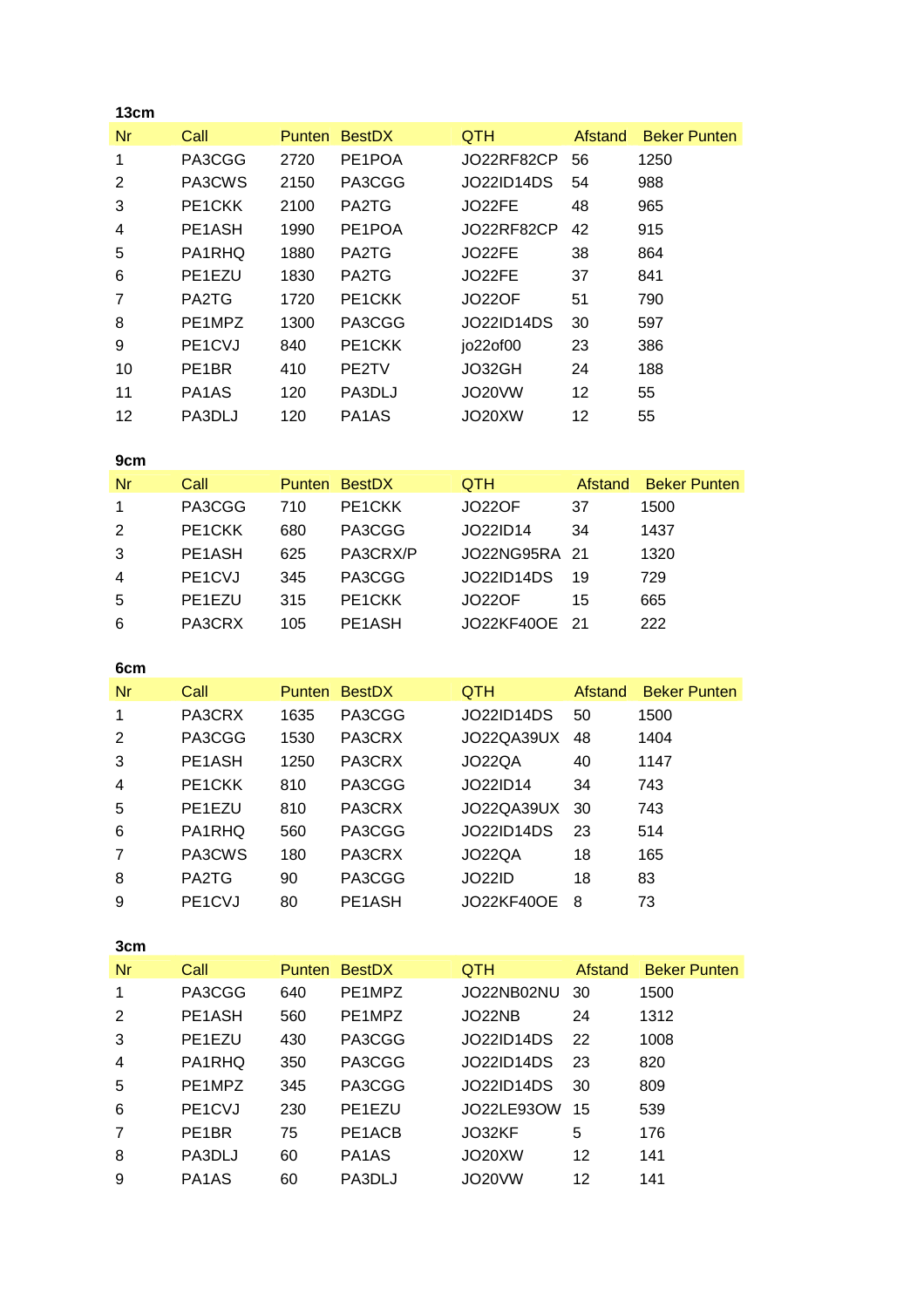| 13cm           |                                  |               |                                |               |         |                     |
|----------------|----------------------------------|---------------|--------------------------------|---------------|---------|---------------------|
| Nr             | Call                             | <b>Punten</b> | <b>BestDX</b>                  | <b>QTH</b>    | Afstand | <b>Beker Punten</b> |
| 1              | PA3CGG                           | 2720          | PE1POA                         | JO22RF82CP    | 56      | 1250                |
| 2              | PA3CWS                           | 2150          | PA3CGG                         | JO22ID14DS    | 54      | 988                 |
| 3              | PE <sub>1</sub> CKK              | 2100          | PA2TG                          | JO22FE        | 48      | 965                 |
| 4              | PE1ASH                           | 1990          | PE1POA                         | JO22RF82CP    | 42      | 915                 |
| 5              | PA1RHQ                           | 1880          | PA2TG                          | JO22FE        | 38      | 864                 |
| 6              | PE1EZU                           | 1830          | PA2TG                          | JO22FE        | 37      | 841                 |
| $\overline{7}$ | PA2TG                            | 1720          | PE <sub>1</sub> CKK            | <b>JO22OF</b> | 51      | 790                 |
| 8              | PE1MPZ                           | 1300          | PA3CGG                         | JO22ID14DS    | 30      | 597                 |
| 9              | PE <sub>1</sub> C <sub>V</sub> J | 840           | PE1CKK                         | jo22of00      | 23      | 386                 |
| 10             | PE <sub>1</sub> BR               | 410           | PE2TV                          | JO32GH        | 24      | 188                 |
| 11             | PA <sub>1</sub> A <sub>S</sub>   | 120           | PA3DLJ                         | JO20VW        | 12      | 55                  |
| 12             | PA3DLJ                           | 120           | PA <sub>1</sub> A <sub>S</sub> | JO20XW        | 12      | 55                  |
|                |                                  |               |                                |               |         |                     |

| 9cm            |                                  |     |                     |               |                |                     |
|----------------|----------------------------------|-----|---------------------|---------------|----------------|---------------------|
| Nr             | Call                             |     | Punten BestDX       | QTH           | <b>Afstand</b> | <b>Beker Punten</b> |
| 1              | PA3CGG                           | 710 | PE <sub>1</sub> CKK | <b>JO22OF</b> | 37             | 1500                |
| 2              | PE1CKK                           | 680 | PA3CGG              | JO22ID14      | 34             | 1437                |
| 3              | PE1ASH                           | 625 | PA3CRX/P            | JO22NG95RA 21 |                | 1320                |
| $\overline{4}$ | PE <sub>1</sub> C <sub>V</sub> J | 345 | PA3CGG              | JO22ID14DS    | 19             | 729                 |
| -5             | PE <sub>1</sub> E <sub>ZU</sub>  | 315 | PE <sub>1</sub> CKK | JO22OF        | 15             | 665                 |
| 6              | PA3CRX                           | 105 | PE1ASH              | JO22KF40OE 21 |                | 222                 |

| 6cm |                                  |               |               |                   |         |                     |
|-----|----------------------------------|---------------|---------------|-------------------|---------|---------------------|
| Nr  | Call                             | <b>Punten</b> | <b>BestDX</b> | <b>QTH</b>        | Afstand | <b>Beker Punten</b> |
| 1   | PA3CRX                           | 1635          | PA3CGG        | <b>JO22ID14DS</b> | 50      | 1500                |
| 2   | PA3CGG                           | 1530          | PA3CRX        | JO22QA39UX        | 48      | 1404                |
| 3   | PE <sub>1</sub> A <sub>SH</sub>  | 1250          | PA3CRX        | JO22QA            | 40      | 1147                |
| 4   | PE <sub>1</sub> CKK              | 810           | PA3CGG        | JO22ID14          | 34      | 743                 |
| 5   | PE1EZU                           | 810           | PA3CRX        | JO22QA39UX        | 30      | 743                 |
| 6   | PA1RHQ                           | 560           | PA3CGG        | JO22ID14DS        | 23      | 514                 |
| 7   | PA3CWS                           | 180           | PA3CRX        | <b>JO22QA</b>     | 18      | 165                 |
| 8   | PA2TG                            | 90            | PA3CGG        | <b>JO22ID</b>     | 18      | 83                  |
| 9   | PE <sub>1</sub> C <sub>V</sub> J | 80            | PE1ASH        | <b>JO22KF40OE</b> | 8       | 73                  |

| 3cm |                                  |               |               |                     |         |                     |
|-----|----------------------------------|---------------|---------------|---------------------|---------|---------------------|
| Nr  | Call                             | <b>Punten</b> | <b>BestDX</b> | <b>QTH</b>          | Afstand | <b>Beker Punten</b> |
| 1   | PA3CGG                           | 640           | PE1MPZ        | JO22NB02NU          | -30     | 1500                |
| 2   | PE1ASH                           | 560           | PE1MPZ        | JO22NB              | 24      | 1312                |
| 3   | PE1EZU                           | 430           | PA3CGG        | <b>JO22ID14DS</b>   | 22      | 1008                |
| 4   | PA1RHQ                           | 350           | PA3CGG        | JO22ID14DS          | 23      | 820                 |
| 5   | PE1MPZ                           | 345           | PA3CGG        | JO22ID14DS          | 30      | 809                 |
| 6   | PE <sub>1</sub> C <sub>V</sub> J | 230           | PE1EZU        | JO22LE93OW          | 15      | 539                 |
| 7   | PE <sub>1</sub> BR               | 75            | PE1ACB        | JO32KF              | 5       | 176                 |
| 8   | PA3DLJ                           | 60            | PA1AS         | JO <sub>20</sub> XW | 12      | 141                 |
| 9   | PA <sub>1</sub> A <sub>S</sub>   | 60            | PA3DLJ        | JO20VW              | 12      | 141                 |